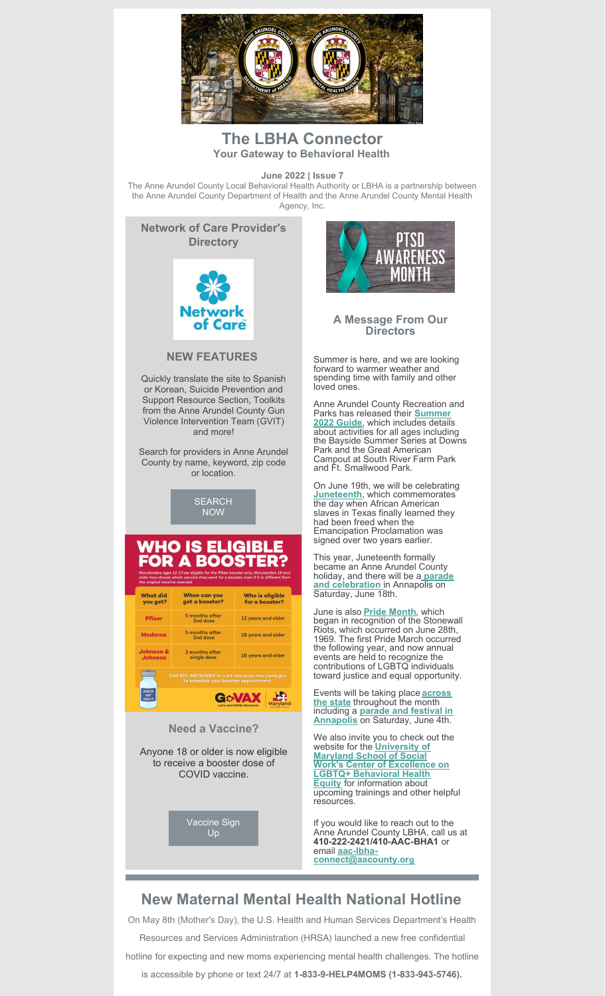

## **The LBHA Connector Your Gateway to Behavioral Health**

**June 2022 | Issue 7**

The Anne Arundel County Local Behavioral Health Authority or LBHA is a partnership between the Anne Arundel County Department of Health and the Anne Arundel County Mental Health Agency, Inc.



#### **NEW FEATURES**

Quickly translate the site to Spanish or Korean, Suicide Prevention and Support Resource Section, Toolkits from the Anne Arundel County Gun Violence Intervention Team (GVIT) and more!

Search for providers in Anne Arundel County by name, keyword, zip code or location.

> [SEARCH](https://annearundel.md.networkofcare.org/mh/index.aspx) NOW

## *N*HO IS ELIGIBI A BOO

What did<br>you get? Who is eligible<br>for a booster? When can you<br>get a booster? 5 months after<br>2nd dose 12 years and older **Pfizer** 5 months after<br>2nd dose Moderna 18 years and older 2 months after<br>single dose 18 years and older **BOOSTER**<br>SHOT G. VAX | P

#### **Need a Vaccine?**

Anyone 18 or older is now eligible to receive a booster dose of COVID vaccine.

> [Vaccine](https://www.aacounty.org/covidvax/) Sign Up



**A Message From Our Directors**

Summer is here, and we are looking forward to warmer weather and spending time with family and other loved ones.

Anne Arundel County Recreation and Parks has released their **[Summer](https://files.constantcontact.com/9118846e801/6f8ea0c7-3ced-46f5-b072-641b0121a3c6.pdf?rdr=true) 2022 Guide**, which includes details about activities for all ages including the Bayside Summer Series at Downs Park and the Great American Campout at South River Farm Park and Ft. Smallwood Park.

On June 19th, we will be celebrating **[Juneteenth](https://www.juneteenth.com/)**, which commemorates the day when African American slaves in Texas finally learned they had been freed when the Emancipation Proclamation was signed over two years earlier.

This year, Juneteenth formally became an Anne Arundel County holiday, and there will be a **parade and [celebration](https://www.theannapolisjuneteenth.org/)** in Annapolis on Saturday, June 18th.

June is also **Pride [Month](https://youth.gov/feature-article/june-lgbt-pride-month)**, which began in recognition of the Stonewall Riots, which occurred on June 28th, 1969. The first Pride March occurred the following year, and now annual events are held to recognize the contributions of LGBTQ individuals toward justice and equal opportunity.

Events will be taking place **across the state** [throughout](https://www.visitmaryland.org/list/maryland-pride-events) the month including a **parade and festival in [Annapolis](https://annapolispride.org/)** on Saturday, June 4th.

We also invite you to check out the website for the **University of Maryland School of Social Work's Center of [Excellence](https://lgbtqequity.org/) on LGBTQ+ Behavioral Health Equity** for information about upcoming trainings and other helpful resources.

If you would like to reach out to the Anne Arundel County LBHA, call us at **410-222-2421/410-AAC-BHA1** or email **aac-lbha[connect@aacounty.or](mailto:aac-lbha-connect@aacounty.org)[g](mailto:aac-lbha-connect@aacounty.org)**

# **New Maternal Mental Health National Hotline**

On May 8th (Mother's Day), the U.S. Health and Human Services Department's Health Resources and Services Administration (HRSA) launched a new free confidential hotline for expecting and new moms experiencing mental health challenges. The hotline is accessible by phone or text 24/7 at **1-833-9-HELP4MOMS (1-833-943-5746).**